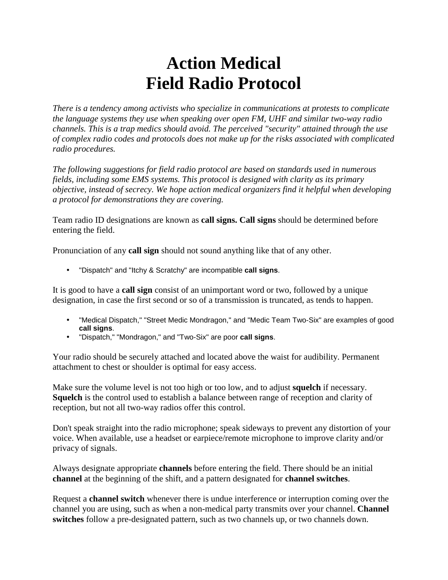## **Action Medical Field Radio Protocol**

*There is a tendency among activists who specialize in communications at protests to complicate the language systems they use when speaking over open FM, UHF and similar two-way radio channels. This is a trap medics should avoid. The perceived "security" attained through the use of complex radio codes and protocols does not make up for the risks associated with complicated radio procedures.*

*The following suggestions for field radio protocol are based on standards used in numerous fields, including some EMS systems. This protocol is designed with clarity as its primary objective, instead of secrecy. We hope action medical organizers find it helpful when developing a protocol for demonstrations they are covering.* 

Team radio ID designations are known as **call signs. Call signs** should be determined before entering the field.

Pronunciation of any **call sign** should not sound anything like that of any other.

• "Dispatch" and "Itchy & Scratchy" are incompatible **call signs**.

It is good to have a **call sign** consist of an unimportant word or two, followed by a unique designation, in case the first second or so of a transmission is truncated, as tends to happen.

- "Medical Dispatch," "Street Medic Mondragon," and "Medic Team Two-Six" are examples of good **call signs**.
- "Dispatch," "Mondragon," and "Two-Six" are poor **call signs**.

Your radio should be securely attached and located above the waist for audibility. Permanent attachment to chest or shoulder is optimal for easy access.

Make sure the volume level is not too high or too low, and to adjust **squelch** if necessary. **Squelch** is the control used to establish a balance between range of reception and clarity of reception, but not all two-way radios offer this control.

Don't speak straight into the radio microphone; speak sideways to prevent any distortion of your voice. When available, use a headset or earpiece/remote microphone to improve clarity and/or privacy of signals.

Always designate appropriate **channels** before entering the field. There should be an initial **channel** at the beginning of the shift, and a pattern designated for **channel switches**.

Request a **channel switch** whenever there is undue interference or interruption coming over the channel you are using, such as when a non-medical party transmits over your channel. **Channel switches** follow a pre-designated pattern, such as two channels up, or two channels down.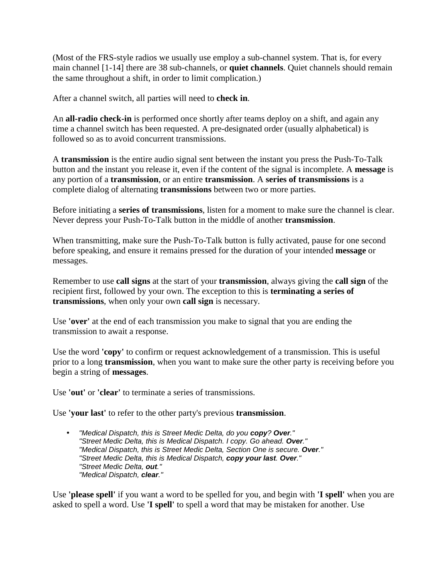(Most of the FRS-style radios we usually use employ a sub-channel system. That is, for every main channel [1-14] there are 38 sub-channels, or **quiet channels**. Quiet channels should remain the same throughout a shift, in order to limit complication.)

After a channel switch, all parties will need to **check in**.

An **all-radio check-in** is performed once shortly after teams deploy on a shift, and again any time a channel switch has been requested. A pre-designated order (usually alphabetical) is followed so as to avoid concurrent transmissions.

A **transmission** is the entire audio signal sent between the instant you press the Push-To-Talk button and the instant you release it, even if the content of the signal is incomplete. A **message** is any portion of a **transmission**, or an entire **transmission**. A **series of transmissions** is a complete dialog of alternating **transmissions** between two or more parties.

Before initiating a **series of transmissions**, listen for a moment to make sure the channel is clear. Never depress your Push-To-Talk button in the middle of another **transmission**.

When transmitting, make sure the Push-To-Talk button is fully activated, pause for one second before speaking, and ensure it remains pressed for the duration of your intended **message** or messages.

Remember to use **call signs** at the start of your **transmission**, always giving the **call sign** of the recipient first, followed by your own. The exception to this is **terminating a series of transmissions**, when only your own **call sign** is necessary.

Use **'over'** at the end of each transmission you make to signal that you are ending the transmission to await a response.

Use the word **'copy'** to confirm or request acknowledgement of a transmission. This is useful prior to a long **transmission**, when you want to make sure the other party is receiving before you begin a string of **messages**.

Use **'out'** or **'clear'** to terminate a series of transmissions.

Use **'your last'** to refer to the other party's previous **transmission**.

• *"Medical Dispatch, this is Street Medic Delta, do you copy? Over." "Street Medic Delta, this is Medical Dispatch. I copy. Go ahead. Over." "Medical Dispatch, this is Street Medic Delta, Section One is secure. Over." "Street Medic Delta, this is Medical Dispatch, copy your last. Over." "Street Medic Delta, out." "Medical Dispatch, clear."*

Use **'please spell'** if you want a word to be spelled for you, and begin with **'I spell'** when you are asked to spell a word. Use **'I spell'** to spell a word that may be mistaken for another. Use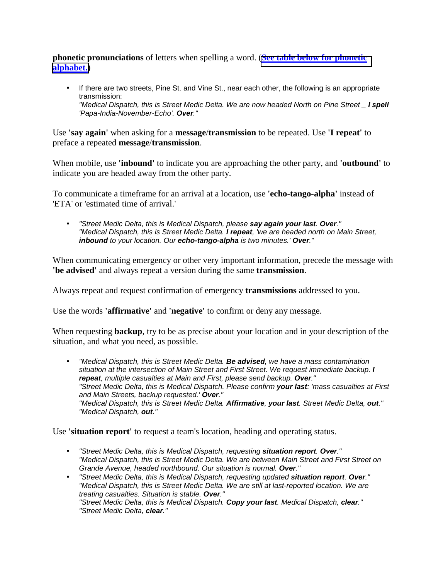**phonetic pronunciations** of letters when spelling a word. (**[See table below for phonetic](http://action-medical.net/static/library/radio_protocols.htm#phonetics)  [alphabet.](http://action-medical.net/static/library/radio_protocols.htm#phonetics)**)

• If there are two streets, Pine St. and Vine St., near each other, the following is an appropriate transmission: *"Medical Dispatch, this is Street Medic Delta. We are now headed North on Pine Street \_ I spell 'Papa-India-November-Echo'. Over."*

Use **'say again'** when asking for a **message**/**transmission** to be repeated. Use **'I repeat'** to preface a repeated **message**/**transmission**.

When mobile, use **'inbound'** to indicate you are approaching the other party, and **'outbound'** to indicate you are headed away from the other party.

To communicate a timeframe for an arrival at a location, use **'echo-tango-alpha'** instead of 'ETA' or 'estimated time of arrival.'

• *"Street Medic Delta, this is Medical Dispatch, please say again your last. Over." "Medical Dispatch, this is Street Medic Delta. I repeat, 'we are headed north on Main Street, inbound to your location. Our echo-tango-alpha is two minutes.' Over."*

When communicating emergency or other very important information, precede the message with **'be advised'** and always repeat a version during the same **transmission**.

Always repeat and request confirmation of emergency **transmissions** addressed to you.

Use the words **'affirmative'** and **'negative'** to confirm or deny any message.

When requesting **backup**, try to be as precise about your location and in your description of the situation, and what you need, as possible.

• *"Medical Dispatch, this is Street Medic Delta. Be advised, we have a mass contamination situation at the intersection of Main Street and First Street. We request immediate backup. I repeat, multiple casualties at Main and First, please send backup. Over." "Street Medic Delta, this is Medical Dispatch. Please confirm your last: 'mass casualties at First and Main Streets, backup requested.' Over." "Medical Dispatch, this is Street Medic Delta. Affirmative, your last. Street Medic Delta, out." "Medical Dispatch, out."*

Use **'situation report'** to request a team's location, heading and operating status.

- *"Street Medic Delta, this is Medical Dispatch, requesting situation report. Over." "Medical Dispatch, this is Street Medic Delta. We are between Main Street and First Street on Grande Avenue, headed northbound. Our situation is normal. Over."*
- *"Street Medic Delta, this is Medical Dispatch, requesting updated situation report. Over." "Medical Dispatch, this is Street Medic Delta. We are still at last-reported location. We are treating casualties. Situation is stable. Over." "Street Medic Delta, this is Medical Dispatch. Copy your last. Medical Dispatch, clear." "Street Medic Delta, clear."*